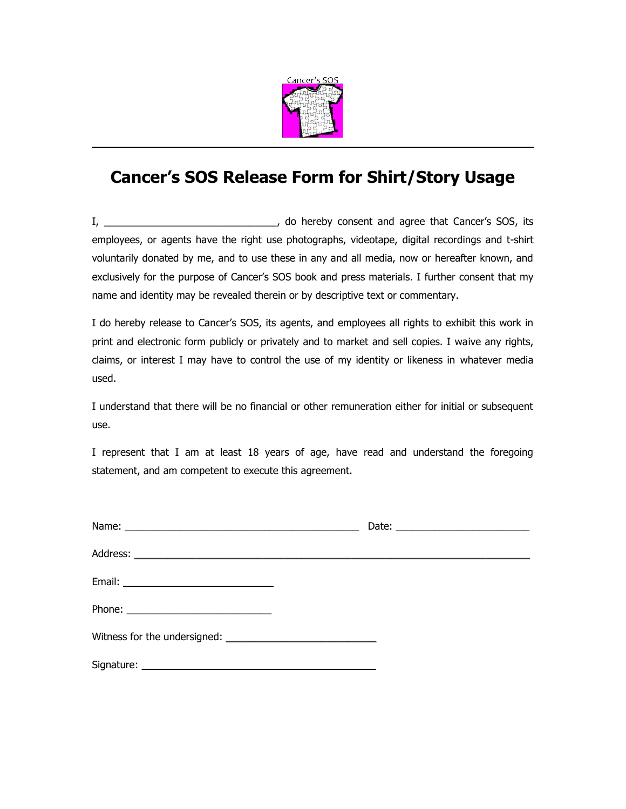

## **Cancer's SOS Release Form for Shirt/Story Usage**

I, \_\_\_\_\_\_\_\_\_\_\_\_\_\_\_\_\_\_\_\_\_\_\_\_\_\_\_\_\_\_\_, do hereby consent and agree that Cancer's SOS, its employees, or agents have the right use photographs, videotape, digital recordings and t-shirt voluntarily donated by me, and to use these in any and all media, now or hereafter known, and exclusively for the purpose of Cancer's SOS book and press materials. I further consent that my name and identity may be revealed therein or by descriptive text or commentary.

I do hereby release to Cancer's SOS, its agents, and employees all rights to exhibit this work in print and electronic form publicly or privately and to market and sell copies. I waive any rights, claims, or interest I may have to control the use of my identity or likeness in whatever media used.

I understand that there will be no financial or other remuneration either for initial or subsequent use.

I represent that I am at least 18 years of age, have read and understand the foregoing statement, and am competent to execute this agreement.

| Email: ________________________________ |  |  |
|-----------------------------------------|--|--|
| Phone: $\qquad \qquad$                  |  |  |
|                                         |  |  |
|                                         |  |  |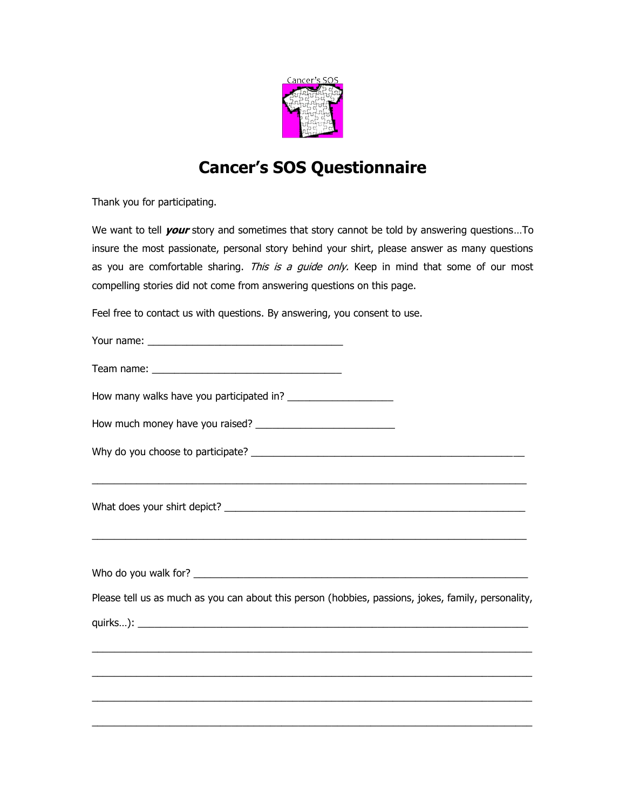

## **Cancer's SOS Questionnaire**

Thank you for participating.

We want to tell **your** story and sometimes that story cannot be told by answering questions…To insure the most passionate, personal story behind your shirt, please answer as many questions as you are comfortable sharing. This is a guide only. Keep in mind that some of our most compelling stories did not come from answering questions on this page.

Feel free to contact us with questions. By answering, you consent to use.

| Please tell us as much as you can about this person (hobbies, passions, jokes, family, personality, |
|-----------------------------------------------------------------------------------------------------|
|                                                                                                     |
|                                                                                                     |
|                                                                                                     |
|                                                                                                     |
|                                                                                                     |